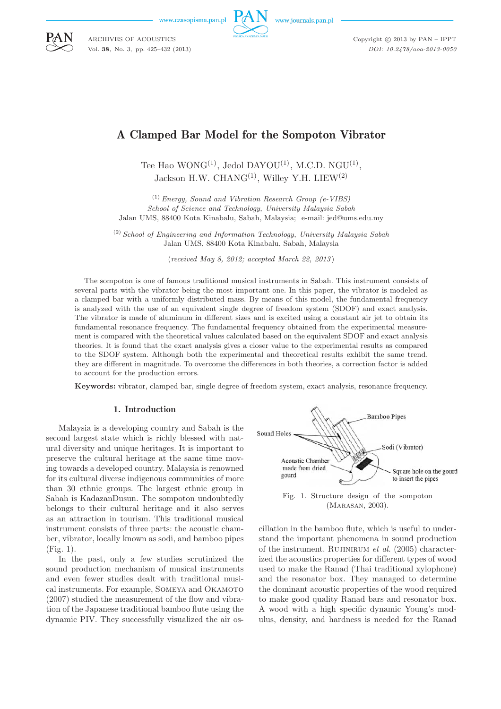www.czasopisma.pan.p

ARCHIVES OF ACOUSTICS Vol. **38**, No. 3, pp. 425–432 (2013)



www.journals.pan.pl

Copyright  $\odot$  2013 by PAN - IPPT *DOI: 10.2478/aoa-2013-0050*

# A Clamped Bar Model for the Sompoton Vibrator

Tee Hao WONG<sup>(1)</sup>, Jedol DAYOU<sup>(1)</sup>, M.C.D. NGU<sup>(1)</sup>, Jackson H.W. CHANG<sup>(1)</sup>, Willey Y.H. LIEW<sup>(2)</sup>

(1) *Energy, Sound and Vibration Research Group (e-VIBS) School of Science and Technology, University Malaysia Sabah* Jalan UMS, 88400 Kota Kinabalu, Sabah, Malaysia; e-mail: jed@ums.edu.my

(2) *School of Engineering and Information Technology, University Malaysia Sabah* Jalan UMS, 88400 Kota Kinabalu, Sabah, Malaysia

(*received May 8, 2012; accepted March 22, 2013* )

The sompoton is one of famous traditional musical instruments in Sabah. This instrument consists of several parts with the vibrator being the most important one. In this paper, the vibrator is modeled as a clamped bar with a uniformly distributed mass. By means of this model, the fundamental frequency is analyzed with the use of an equivalent single degree of freedom system (SDOF) and exact analysis. The vibrator is made of aluminum in different sizes and is excited using a constant air jet to obtain its fundamental resonance frequency. The fundamental frequency obtained from the experimental measurement is compared with the theoretical values calculated based on the equivalent SDOF and exact analysis theories. It is found that the exact analysis gives a closer value to the experimental results as compared to the SDOF system. Although both the experimental and theoretical results exhibit the same trend, they are different in magnitude. To overcome the differences in both theories, a correction factor is added to account for the production errors.

**Keywords:** vibrator, clamped bar, single degree of freedom system, exact analysis, resonance frequency.

#### 1. Introduction

Malaysia is a developing country and Sabah is the second largest state which is richly blessed with natural diversity and unique heritages. It is important to preserve the cultural heritage at the same time moving towards a developed country. Malaysia is renowned for its cultural diverse indigenous communities of more than 30 ethnic groups. The largest ethnic group in Sabah is KadazanDusun. The sompoton undoubtedly belongs to their cultural heritage and it also serves as an attraction in tourism. This traditional musical instrument consists of three parts: the acoustic chamber, vibrator, locally known as sodi, and bamboo pipes (Fig. 1).

In the past, only a few studies scrutinized the sound production mechanism of musical instruments and even fewer studies dealt with traditional musical instruments. For example, Someya and Okamoto (2007) studied the measurement of the flow and vibration of the Japanese traditional bamboo flute using the dynamic PIV. They successfully visualized the air os-



Fig. 1. Structure design of the sompoton (Marasan, 2003).

cillation in the bamboo flute, which is useful to understand the important phenomena in sound production of the instrument. Rujinirum *et al.* (2005) characterized the acoustics properties for different types of wood used to make the Ranad (Thai traditional xylophone) and the resonator box. They managed to determine the dominant acoustic properties of the wood required to make good quality Ranad bars and resonator box. A wood with a high specific dynamic Young's modulus, density, and hardness is needed for the Ranad

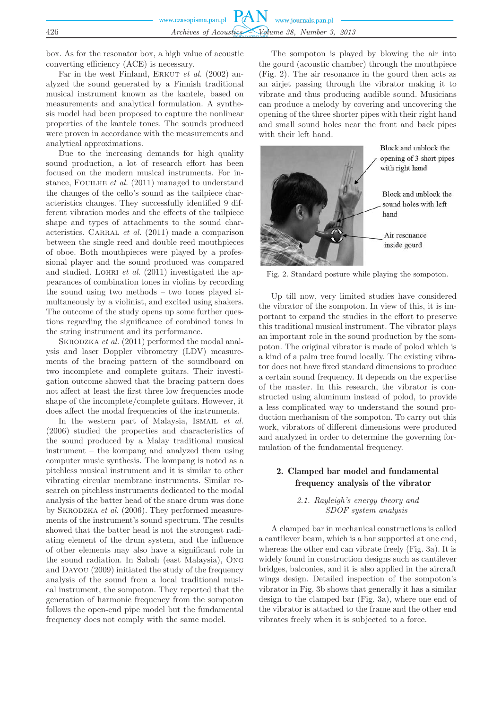|     | www.czasopisma.pan.pl $PAN$ www.journals.pan.pl |
|-----|-------------------------------------------------|
|     |                                                 |
| 426 | Archives of Acoustics Volume 38, Number 3, 2013 |

box. As for the resonator box, a high value of acoustic converting efficiency (ACE) is necessary.

Far in the west Finland, ERKUT *et al.* (2002) analyzed the sound generated by a Finnish traditional musical instrument known as the kantele, based on measurements and analytical formulation. A synthesis model had been proposed to capture the nonlinear properties of the kantele tones. The sounds produced were proven in accordance with the measurements and analytical approximations.

Due to the increasing demands for high quality sound production, a lot of research effort has been focused on the modern musical instruments. For instance, FOUILHE *et al.* (2011) managed to understand the changes of the cello's sound as the tailpiece characteristics changes. They successfully identified 9 different vibration modes and the effects of the tailpiece shape and types of attachments to the sound characteristics. CARRAL *et al.* (2011) made a comparison between the single reed and double reed mouthpieces of oboe. Both mouthpieces were played by a professional player and the sound produced was compared and studied. LOHRI *et al.* (2011) investigated the appearances of combination tones in violins by recording the sound using two methods – two tones played simultaneously by a violinist, and excited using shakers. The outcome of the study opens up some further questions regarding the significance of combined tones in the string instrument and its performance.

SKRODZKA *et al.* (2011) performed the modal analysis and laser Doppler vibrometry (LDV) measurements of the bracing pattern of the soundboard on two incomplete and complete guitars. Their investigation outcome showed that the bracing pattern does not affect at least the first three low frequencies mode shape of the incomplete/complete guitars. However, it does affect the modal frequencies of the instruments.

In the western part of Malaysia, ISMAIL *et al.* (2006) studied the properties and characteristics of the sound produced by a Malay traditional musical instrument – the kompang and analyzed them using computer music synthesis. The kompang is noted as a pitchless musical instrument and it is similar to other vibrating circular membrane instruments. Similar research on pitchless instruments dedicated to the modal analysis of the batter head of the snare drum was done by Skrodzka *et al.* (2006). They performed measurements of the instrument's sound spectrum. The results showed that the batter head is not the strongest radiating element of the drum system, and the influence of other elements may also have a significant role in the sound radiation. In Sabah (east Malaysia), Ong and Dayou (2009) initiated the study of the frequency analysis of the sound from a local traditional musical instrument, the sompoton. They reported that the generation of harmonic frequency from the sompoton follows the open-end pipe model but the fundamental frequency does not comply with the same model.

The sompoton is played by blowing the air into the gourd (acoustic chamber) through the mouthpiece (Fig. 2). The air resonance in the gourd then acts as an airjet passing through the vibrator making it to vibrate and thus producing audible sound. Musicians can produce a melody by covering and uncovering the opening of the three shorter pipes with their right hand and small sound holes near the front and back pipes with their left hand.



Fig. 2. Standard posture while playing the sompoton.

Up till now, very limited studies have considered the vibrator of the sompoton. In view of this, it is important to expand the studies in the effort to preserve this traditional musical instrument. The vibrator plays an important role in the sound production by the sompoton. The original vibrator is made of polod which is a kind of a palm tree found locally. The existing vibrator does not have fixed standard dimensions to produce a certain sound frequency. It depends on the expertise of the master. In this research, the vibrator is constructed using aluminum instead of polod, to provide a less complicated way to understand the sound production mechanism of the sompoton. To carry out this work, vibrators of different dimensions were produced and analyzed in order to determine the governing formulation of the fundamental frequency.

## 2. Clamped bar model and fundamental frequency analysis of the vibrator

### *2.1. Rayleigh's energy theory and SDOF system analysis*

A clamped bar in mechanical constructions is called a cantilever beam, which is a bar supported at one end, whereas the other end can vibrate freely (Fig. 3a). It is widely found in construction designs such as cantilever bridges, balconies, and it is also applied in the aircraft wings design. Detailed inspection of the sompoton's vibrator in Fig. 3b shows that generally it has a similar design to the clamped bar (Fig. 3a), where one end of the vibrator is attached to the frame and the other end vibrates freely when it is subjected to a force.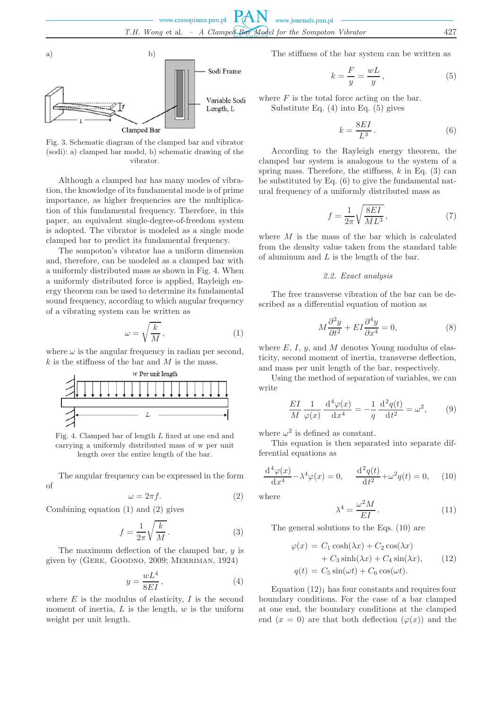

Fig. 3. Schematic diagram of the clamped bar and vibrator (sodi): a) clamped bar model, b) schematic drawing of the vibrator.

Although a clamped bar has many modes of vibration, the knowledge of its fundamental mode is of prime importance, as higher frequencies are the multiplication of this fundamental frequency. Therefore, in this paper, an equivalent single-degree-of-freedom system is adopted. The vibrator is modeled as a single mode clamped bar to predict its fundamental frequency.

The sompoton's vibrator has a uniform dimension and, therefore, can be modeled as a clamped bar with a uniformly distributed mass as shown in Fig. 4. When a uniformly distributed force is applied, Rayleigh energy theorem can be used to determine its fundamental sound frequency, according to which angular frequency of a vibrating system can be written as

$$
\omega = \sqrt{\frac{k}{M}},\tag{1}
$$

where  $\omega$  is the angular frequency in radian per second,  $k$  is the stiffness of the bar and  $M$  is the mass.



Fig. 4. Clamped bar of length L fixed at one end and carrying a uniformly distributed mass of w per unit length over the entire length of the bar.

The angular frequency can be expressed in the form of

$$
\omega = 2\pi f. \tag{2}
$$

Combining equation (1) and (2) gives

$$
f = \frac{1}{2\pi} \sqrt{\frac{k}{M}}.
$$
 (3)

The maximum deflection of the clamped bar,  $y$  is given by (Gere, Goodno, 2009; Merriman, 1924)

$$
y = \frac{wL^4}{8EI},\tag{4}
$$

where  $E$  is the modulus of elasticity,  $I$  is the second moment of inertia,  $L$  is the length,  $w$  is the uniform weight per unit length.

The stiffness of the bar system can be written as

$$
k = \frac{F}{y} = \frac{wL}{y},\tag{5}
$$

where  $F$  is the total force acting on the bar. Substitute Eq. (4) into Eq. (5) gives

$$
k = \frac{8EI}{L^3} \,. \tag{6}
$$

According to the Rayleigh energy theorem, the clamped bar system is analogous to the system of a spring mass. Therefore, the stiffness,  $k$  in Eq. (3) can be substituted by Eq. (6) to give the fundamental natural frequency of a uniformly distributed mass as

$$
f = \frac{1}{2\pi} \sqrt{\frac{8EI}{ML^3}},\tag{7}
$$

where  $M$  is the mass of the bar which is calculated from the density value taken from the standard table of aluminum and  $L$  is the length of the bar.

#### *2.2. Exact analysis*

The free transverse vibration of the bar can be described as a differential equation of motion as

$$
M\frac{\partial^2 y}{\partial t^2} + EI\frac{\partial^4 y}{\partial x^4} = 0,
$$
\n(8)

where  $E, I, y$ , and  $M$  denotes Young modulus of elasticity, second moment of inertia, transverse deflection, and mass per unit length of the bar, respectively.

Using the method of separation of variables, we can write

$$
\frac{EI}{M} \frac{1}{\varphi(x)} \frac{\mathrm{d}^4 \varphi(x)}{\mathrm{d} x^4} = -\frac{1}{q} \frac{\mathrm{d}^2 q(t)}{\mathrm{d} t^2} = \omega^2, \qquad (9)
$$

where  $\omega^2$  is defined as constant.

This equation is then separated into separate differential equations as

$$
\frac{d^4\varphi(x)}{dx^4} - \lambda^4\varphi(x) = 0, \quad \frac{d^2q(t)}{dt^2} + \omega^2q(t) = 0, \quad (10)
$$

where

$$
\lambda^4 = \frac{\omega^2 M}{EI} \,. \tag{11}
$$

The general solutions to the Eqs. (10) are

$$
\varphi(x) = C_1 \cosh(\lambda x) + C_2 \cos(\lambda x) \n+ C_3 \sinh(\lambda x) + C_4 \sin(\lambda x), \qquad (12) \nq(t) = C_5 \sin(\omega t) + C_6 \cos(\omega t).
$$

Equation  $(12)_1$  has four constants and requires four boundary conditions. For the case of a bar clamped at one end, the boundary conditions at the clamped end  $(x = 0)$  are that both deflection  $(\varphi(x))$  and the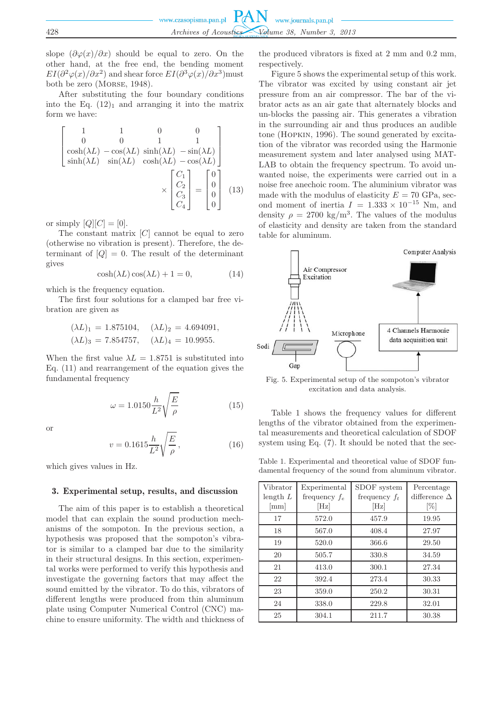slope  $\left(\frac{\partial \varphi(x)}{\partial x}\right)$  should be equal to zero. On the other hand, at the free end, the bending moment  $EI(\partial^2\varphi(x)/\partial x^2)$  and shear force  $EI(\partial^3\varphi(x)/\partial x^3)$  must both be zero (Morse, 1948).

After substituting the four boundary conditions into the Eq.  $(12)<sub>1</sub>$  and arranging it into the matrix form we have:

$$
\begin{bmatrix}\n1 & 1 & 0 & 0 \\
0 & 0 & 1 & 1 \\
\cosh(\lambda L) - \cos(\lambda L) & \sinh(\lambda L) & -\sin(\lambda L) \\
\sinh(\lambda L) & \sin(\lambda L) & \cosh(\lambda L) - \cos(\lambda L)\n\end{bmatrix}\n\times\n\begin{bmatrix}\nC_1 \\
C_2 \\
C_3 \\
C_4\n\end{bmatrix} =\n\begin{bmatrix}\n0 \\
0 \\
0 \\
0\n\end{bmatrix}
$$
\n(13)

or simply  $[Q][C] = [0].$ 

The constant matrix  $[C]$  cannot be equal to zero (otherwise no vibration is present). Therefore, the determinant of  $[Q] = 0$ . The result of the determinant gives

$$
\cosh(\lambda L)\cos(\lambda L) + 1 = 0,\tag{14}
$$

which is the frequency equation.

The first four solutions for a clamped bar free vibration are given as

$$
(\lambda L)_1 = 1.875104,
$$
  $(\lambda L)_2 = 4.694091,$   
 $(\lambda L)_3 = 7.854757,$   $(\lambda L)_4 = 10.9955.$ 

When the first value  $\lambda L = 1.8751$  is substituted into Eq. (11) and rearrangement of the equation gives the fundamental frequency

$$
\omega = 1.0150 \frac{h}{L^2} \sqrt{\frac{E}{\rho}}
$$
\n(15)

or

$$
v = 0.1615 \frac{h}{L^2} \sqrt{\frac{E}{\rho}},
$$
\n(16)

which gives values in Hz.

#### 3. Experimental setup, results, and discussion

The aim of this paper is to establish a theoretical model that can explain the sound production mechanisms of the sompoton. In the previous section, a hypothesis was proposed that the sompoton's vibrator is similar to a clamped bar due to the similarity in their structural designs. In this section, experimental works were performed to verify this hypothesis and investigate the governing factors that may affect the sound emitted by the vibrator. To do this, vibrators of different lengths were produced from thin aluminum plate using Computer Numerical Control (CNC) machine to ensure uniformity. The width and thickness of the produced vibrators is fixed at 2 mm and 0.2 mm, respectively.

Figure 5 shows the experimental setup of this work. The vibrator was excited by using constant air jet pressure from an air compressor. The bar of the vibrator acts as an air gate that alternately blocks and un-blocks the passing air. This generates a vibration in the surrounding air and thus produces an audible tone (Hopkin, 1996). The sound generated by excitation of the vibrator was recorded using the Harmonie measurement system and later analysed using MAT-LAB to obtain the frequency spectrum. To avoid unwanted noise, the experiments were carried out in a noise free anechoic room. The aluminium vibrator was made with the modulus of elasticity  $E = 70$  GPa, second moment of inertia  $I = 1.333 \times 10^{-15}$  Nm, and density  $\rho = 2700 \text{ kg/m}^3$ . The values of the modulus of elasticity and density are taken from the standard table for aluminum.



Fig. 5. Experimental setup of the sompoton's vibrator excitation and data analysis.

Table 1 shows the frequency values for different lengths of the vibrator obtained from the experimental measurements and theoretical calculation of SDOF system using Eq. (7). It should be noted that the sec-

Table 1. Experimental and theoretical value of SDOF fundamental frequency of the sound from aluminum vibrator.

| Vibrator<br>length $L$<br>[mm] | Experimental<br>frequency $f_e$<br>$[\mathrm{Hz}]$ | SDOF system<br>frequency $f_t$<br>$[\mathrm{Hz}]$ | Percentage<br>difference $\Delta$<br>$[\%]$ |
|--------------------------------|----------------------------------------------------|---------------------------------------------------|---------------------------------------------|
| 17                             | 572.0                                              | 457.9                                             | 19.95                                       |
| 18                             | 567.0                                              | 408.4                                             | 27.97                                       |
| 19                             | 520.0                                              | 366.6                                             | 29.50                                       |
| 20                             | 505.7                                              | 330.8                                             | 34.59                                       |
| 21                             | 413.0                                              | 300.1                                             | 27.34                                       |
| 22                             | 392.4                                              | 273.4                                             | 30.33                                       |
| 23                             | 359.0                                              | 250.2                                             | 30.31                                       |
| 24                             | 338.0                                              | 229.8                                             | 32.01                                       |
| 25                             | 304.1                                              | 211.7                                             | 30.38                                       |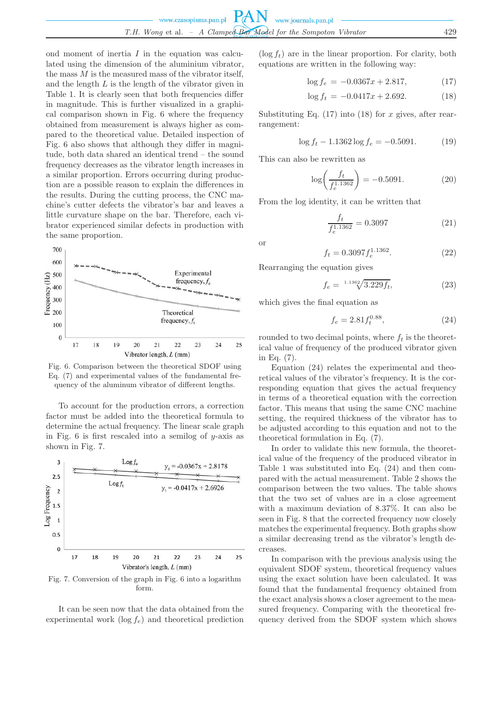ond moment of inertia  $I$  in the equation was calculated using the dimension of the aluminium vibrator, the mass  $M$  is the measured mass of the vibrator itself, and the length L is the length of the vibrator given in Table 1. It is clearly seen that both frequencies differ in magnitude. This is further visualized in a graphical comparison shown in Fig. 6 where the frequency obtained from measurement is always higher as compared to the theoretical value. Detailed inspection of Fig. 6 also shows that although they differ in magnitude, both data shared an identical trend – the sound frequency decreases as the vibrator length increases in a similar proportion. Errors occurring during production are a possible reason to explain the differences in the results. During the cutting process, the CNC machine's cutter defects the vibrator's bar and leaves a little curvature shape on the bar. Therefore, each vibrator experienced similar defects in production with the same proportion.



Fig. 6. Comparison between the theoretical SDOF using Eq. (7) and experimental values of the fundamental frequency of the aluminum vibrator of different lengths.

To account for the production errors, a correction factor must be added into the theoretical formula to determine the actual frequency. The linear scale graph in Fig.  $6$  is first rescaled into a semilog of y-axis as shown in Fig. 7.



Fig. 7. Conversion of the graph in Fig. 6 into a logarithm form.

It can be seen now that the data obtained from the experimental work  $(\log f_e)$  and theoretical prediction

 $(\log f_t)$  are in the linear proportion. For clarity, both equations are written in the following way:

$$
\log f_e = -0.0367x + 2.817,\tag{17}
$$

$$
\log f_t = -0.0417x + 2.692. \tag{18}
$$

Substituting Eq.  $(17)$  into  $(18)$  for x gives, after rearrangement:

$$
\log f_t - 1.1362 \log f_e = -0.5091. \tag{19}
$$

This can also be rewritten as

$$
\log\left(\frac{f_t}{f_e^{1.1362}}\right) = -0.5091.\tag{20}
$$

From the log identity, it can be written that

$$
\frac{f_t}{f_e^{1.1362}} = 0.3097\tag{21}
$$

or

$$
f_t = 0.3097 f_e^{1.1362}.
$$
 (22)

Rearranging the equation gives

$$
f_e = {}^{1.1362} \sqrt{3.229 f_t}, \tag{23}
$$

which gives the final equation as

$$
f_e = 2.81 f_t^{0.88},\tag{24}
$$

rounded to two decimal points, where  $f_t$  is the theoretical value of frequency of the produced vibrator given in Eq. (7).

Equation (24) relates the experimental and theoretical values of the vibrator's frequency. It is the corresponding equation that gives the actual frequency in terms of a theoretical equation with the correction factor. This means that using the same CNC machine setting, the required thickness of the vibrator has to be adjusted according to this equation and not to the theoretical formulation in Eq. (7).

In order to validate this new formula, the theoretical value of the frequency of the produced vibrator in Table 1 was substituted into Eq. (24) and then compared with the actual measurement. Table 2 shows the comparison between the two values. The table shows that the two set of values are in a close agreement with a maximum deviation of 8.37%. It can also be seen in Fig. 8 that the corrected frequency now closely matches the experimental frequency. Both graphs show a similar decreasing trend as the vibrator's length decreases.

In comparison with the previous analysis using the equivalent SDOF system, theoretical frequency values using the exact solution have been calculated. It was found that the fundamental frequency obtained from the exact analysis shows a closer agreement to the measured frequency. Comparing with the theoretical frequency derived from the SDOF system which shows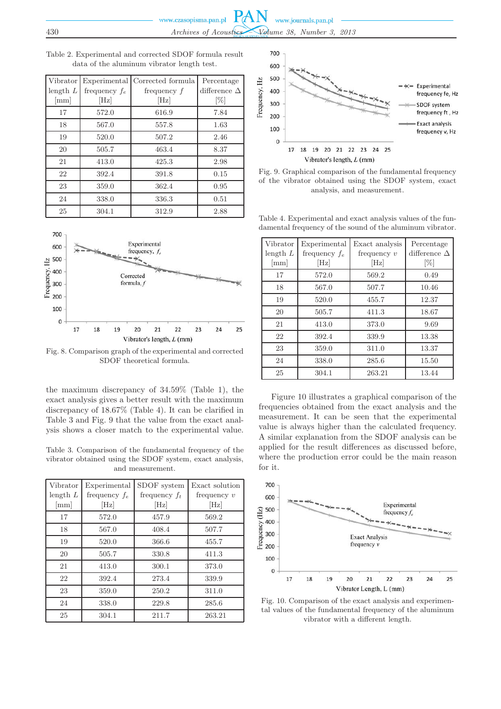| Vibrator<br>length $L$<br>${\rm [mm]}$ | Experimental<br>frequency $f_e$<br>$[\mathrm{Hz}]$ | Corrected formula<br>frequency f<br>[Hz] | Percentage<br>difference $\Delta$<br>$[\%]$ |
|----------------------------------------|----------------------------------------------------|------------------------------------------|---------------------------------------------|
| 17                                     | 572.0                                              | 616.9                                    | 7.84                                        |
| 18                                     | 567.0                                              | 557.8                                    | 1.63                                        |
| 19                                     | 520.0                                              | 507.2                                    | 2.46                                        |
| 20                                     | 505.7                                              | 463.4                                    | 8.37                                        |
| 21                                     | 413.0                                              | 425.3                                    | 2.98                                        |
| 22                                     | 392.4                                              | 391.8                                    | 0.15                                        |
| 23                                     | 359.0                                              | 362.4                                    | 0.95                                        |
| 24                                     | 338.0                                              | 336.3                                    | 0.51                                        |
| 25                                     | 304.1                                              | 312.9                                    | 2.88                                        |



Fig. 8. Comparison graph of the experimental and corrected SDOF theoretical formula.

the maximum discrepancy of 34.59% (Table 1), the exact analysis gives a better result with the maximum discrepancy of 18.67% (Table 4). It can be clarified in Table 3 and Fig. 9 that the value from the exact analysis shows a closer match to the experimental value.

Table 3. Comparison of the fundamental frequency of the vibrator obtained using the SDOF system, exact analysis, and measurement.

| Vibrator<br>length $L$<br>${\rm [mm]}$ | Experimental<br>frequency $f_e$<br>$[\mathrm{Hz}]$ | SDOF system<br>frequency $f_t$<br>$[\mathrm{Hz}]$ | Exact solution<br>frequency $v$<br>$[\mathrm{Hz}]$ |
|----------------------------------------|----------------------------------------------------|---------------------------------------------------|----------------------------------------------------|
| 17                                     | 572.0                                              | 457.9                                             | 569.2                                              |
| 18                                     | 567.0                                              | 408.4                                             | 507.7                                              |
| 19                                     | 520.0                                              | 366.6                                             | 455.7                                              |
| 20                                     | 505.7                                              | 330.8                                             | 411.3                                              |
| 21                                     | 413.0                                              | 300.1                                             | 373.0                                              |
| 22                                     | 392.4                                              | 273.4                                             | 339.9                                              |
| 23                                     | 359.0                                              | 250.2                                             | 311.0                                              |
| 24                                     | 338.0                                              | 229.8                                             | 285.6                                              |
| 25                                     | 304.1                                              | 211.7                                             | 263.21                                             |



Fig. 9. Graphical comparison of the fundamental frequency of the vibrator obtained using the SDOF system, exact analysis, and measurement.

Table 4. Experimental and exact analysis values of the fundamental frequency of the sound of the aluminum vibrator.

| Vibrator<br>length $L$<br>$\lceil \text{mm} \rceil$ | Experimental<br>frequency $f_e$<br>$[\mathrm{Hz}]$ | Exact analysis<br>frequency $v$<br>$[\mathrm{Hz}]$ | Percentage<br>difference $\Delta$<br>$[\%]$ |
|-----------------------------------------------------|----------------------------------------------------|----------------------------------------------------|---------------------------------------------|
| 17                                                  | 572.0                                              | 569.2                                              | 0.49                                        |
| 18                                                  | 567.0                                              | 507.7                                              | 10.46                                       |
| 19                                                  | 520.0                                              | 455.7                                              | 12.37                                       |
| 20                                                  | 505.7                                              | 411.3                                              | 18.67                                       |
| 21                                                  | 413.0                                              | 373.0                                              | 9.69                                        |
| 22                                                  | 392.4                                              | 339.9                                              | 13.38                                       |
| 23                                                  | 359.0                                              | 311.0                                              | 13.37                                       |
| 24                                                  | 338.0                                              | 285.6                                              | 15.50                                       |
| 25                                                  | 304.1                                              | 263.21                                             | 13.44                                       |

Figure 10 illustrates a graphical comparison of the frequencies obtained from the exact analysis and the measurement. It can be seen that the experimental value is always higher than the calculated frequency. A similar explanation from the SDOF analysis can be applied for the result differences as discussed before, where the production error could be the main reason for it.



Fig. 10. Comparison of the exact analysis and experimental values of the fundamental frequency of the aluminum vibrator with a different length.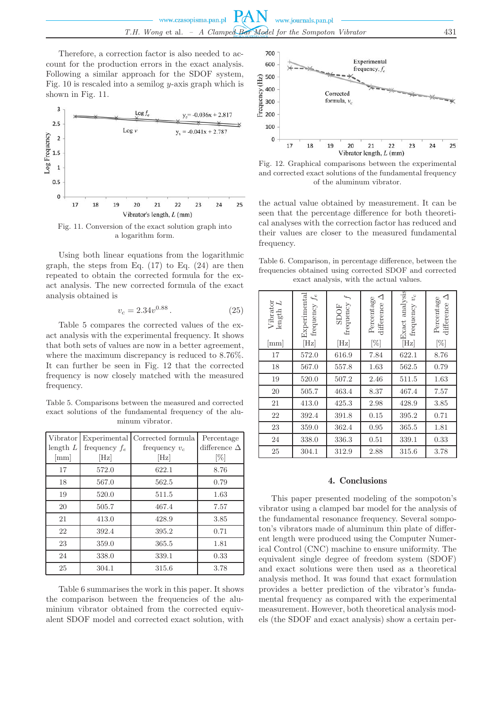Therefore, a correction factor is also needed to account for the production errors in the exact analysis. Following a similar approach for the SDOF system, Fig. 10 is rescaled into a semilog y-axis graph which is shown in Fig. 11.



Fig. 11. Conversion of the exact solution graph into a logarithm form.

Using both linear equations from the logarithmic graph, the steps from Eq.  $(17)$  to Eq.  $(24)$  are then repeated to obtain the corrected formula for the exact analysis. The new corrected formula of the exact analysis obtained is

$$
v_c = 2.34v^{0.88} \,. \tag{25}
$$

Table 5 compares the corrected values of the exact analysis with the experimental frequency. It shows that both sets of values are now in a better agreement, where the maximum discrepancy is reduced to 8.76%. It can further be seen in Fig. 12 that the corrected frequency is now closely matched with the measured frequency.

Table 5. Comparisons between the measured and corrected exact solutions of the fundamental frequency of the aluminum vibrator.

| Vibrator   | Experimental    | Corrected formula | Percentage          |
|------------|-----------------|-------------------|---------------------|
|            |                 |                   |                     |
| length $L$ | frequency $f_e$ | frequency $v_c$   | difference $\Delta$ |
| [mm]       | $[\mathrm{Hz}]$ | $[\mathrm{Hz}]$   | [%]                 |
| 17         | 572.0           | 622.1             | 8.76                |
| 18         | 567.0           | 562.5             | 0.79                |
| 19         | 520.0           | 511.5             | 1.63                |
| 20         | 505.7           | 467.4             | 7.57                |
| 21         | 413.0           | 428.9             | 3.85                |
| 22         | 392.4           | 395.2             | 0.71                |
| 23         | 359.0           | 365.5             | 1.81                |
| 24         | 338.0           | 339.1             | 0.33                |
| 25         | 304.1           | 315.6             | 3.78                |

Table 6 summarises the work in this paper. It shows the comparison between the frequencies of the aluminium vibrator obtained from the corrected equivalent SDOF model and corrected exact solution, with



Fig. 12. Graphical comparisons between the experimental and corrected exact solutions of the fundamental frequency of the aluminum vibrator.

the actual value obtained by measurement. It can be seen that the percentage difference for both theoretical analyses with the correction factor has reduced and their values are closer to the measured fundamental frequency.

Table 6. Comparison, in percentage difference, between the frequencies obtained using corrected SDOF and corrected exact analysis, with the actual values.

| Vibrator<br>$\overline{L}$<br>$\rm length$<br>${\rm [mm]}$ | Experimental<br>frequency $f_e$<br>[Hz] | frequency<br><b>SDOF</b><br>[Hz] | ◁<br>Percentage<br>difference<br>$[\%]$ | $\fbox{\parbox{1.5cm}{ {\begin{tabular}{ c } \hline \hline m \\ \hline $m$ & $r$-}{\rm{ }}$ & $m$-}{\rm{ }}$ & $m$-}{\rm{ }}$ \\ \hline \hline $m$ & $r$-}{\rm{ }}$ & $m$-}{\rm{ }}$ & $m$-}{\rm{ }}$ \\ \hline \end{tabular} }$<br>frequency $v_{\rm c}$ | ◁<br>Percentage<br>difference<br>$[\%]$ |
|------------------------------------------------------------|-----------------------------------------|----------------------------------|-----------------------------------------|-----------------------------------------------------------------------------------------------------------------------------------------------------------------------------------------------------------------------------------------------------------|-----------------------------------------|
| 17                                                         | 572.0                                   | 616.9                            | 7.84                                    | 622.1                                                                                                                                                                                                                                                     | 8.76                                    |
| 18                                                         | 567.0                                   | 557.8                            | 1.63                                    | 562.5                                                                                                                                                                                                                                                     | 0.79                                    |
| 19                                                         | 520.0                                   | 507.2                            | 2.46                                    | 511.5                                                                                                                                                                                                                                                     | 1.63                                    |
| 20                                                         | 505.7                                   | 463.4                            | 8.37                                    | 467.4                                                                                                                                                                                                                                                     | 7.57                                    |
| 21                                                         | 413.0                                   | 425.3                            | 2.98                                    | 428.9                                                                                                                                                                                                                                                     | 3.85                                    |
| 22                                                         | 392.4                                   | 391.8                            | 0.15                                    | 395.2                                                                                                                                                                                                                                                     | 0.71                                    |
| 23                                                         | 359.0                                   | 362.4                            | 0.95                                    | 365.5                                                                                                                                                                                                                                                     | 1.81                                    |
| 24                                                         | 338.0                                   | 336.3                            | 0.51                                    | 339.1                                                                                                                                                                                                                                                     | 0.33                                    |
| 25                                                         | 304.1                                   | 312.9                            | 2.88                                    | 315.6                                                                                                                                                                                                                                                     | 3.78                                    |

## 4. Conclusions

This paper presented modeling of the sompoton's vibrator using a clamped bar model for the analysis of the fundamental resonance frequency. Several sompoton's vibrators made of aluminum thin plate of different length were produced using the Computer Numerical Control (CNC) machine to ensure uniformity. The equivalent single degree of freedom system (SDOF) and exact solutions were then used as a theoretical analysis method. It was found that exact formulation provides a better prediction of the vibrator's fundamental frequency as compared with the experimental measurement. However, both theoretical analysis models (the SDOF and exact analysis) show a certain per